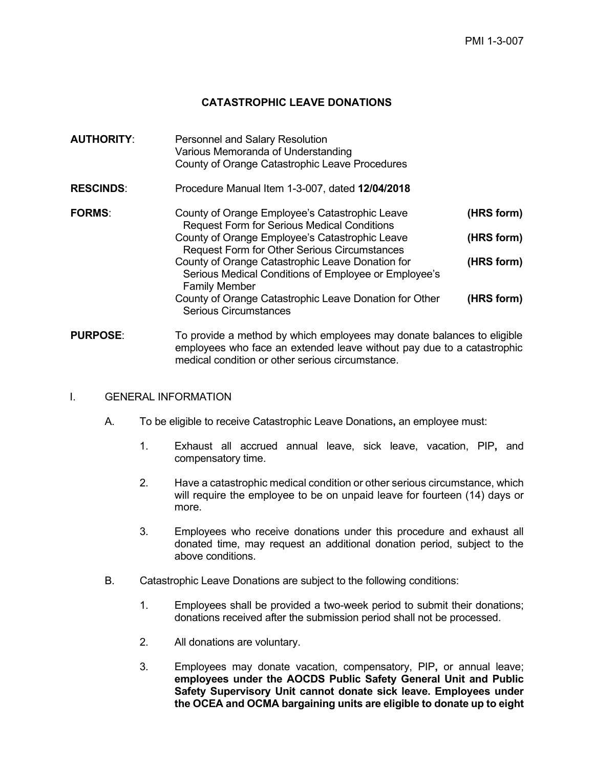## **CATASTROPHIC LEAVE DONATIONS**

| <b>AUTHORITY:</b> | <b>Personnel and Salary Resolution</b><br>Various Memoranda of Understanding<br>County of Orange Catastrophic Leave Procedures                                                                                                                                                                                                                                                                                                              |                                                      |
|-------------------|---------------------------------------------------------------------------------------------------------------------------------------------------------------------------------------------------------------------------------------------------------------------------------------------------------------------------------------------------------------------------------------------------------------------------------------------|------------------------------------------------------|
| <b>RESCINDS:</b>  | Procedure Manual Item 1-3-007, dated 12/04/2018                                                                                                                                                                                                                                                                                                                                                                                             |                                                      |
| <b>FORMS:</b>     | County of Orange Employee's Catastrophic Leave<br><b>Request Form for Serious Medical Conditions</b><br>County of Orange Employee's Catastrophic Leave<br><b>Request Form for Other Serious Circumstances</b><br>County of Orange Catastrophic Leave Donation for<br>Serious Medical Conditions of Employee or Employee's<br><b>Family Member</b><br>County of Orange Catastrophic Leave Donation for Other<br><b>Serious Circumstances</b> | (HRS form)<br>(HRS form)<br>(HRS form)<br>(HRS form) |
|                   |                                                                                                                                                                                                                                                                                                                                                                                                                                             |                                                      |

**PURPOSE:** To provide a method by which employees may donate balances to eligible employees who face an extended leave without pay due to a catastrophic medical condition or other serious circumstance.

#### I. GENERAL INFORMATION

- A. To be eligible to receive Catastrophic Leave Donations**,** an employee must:
	- 1. Exhaust all accrued annual leave, sick leave, vacation, PIP**,** and compensatory time.
	- 2. Have a catastrophic medical condition or other serious circumstance, which will require the employee to be on unpaid leave for fourteen (14) days or more.
	- 3. Employees who receive donations under this procedure and exhaust all donated time, may request an additional donation period, subject to the above conditions.
- B. Catastrophic Leave Donations are subject to the following conditions:
	- 1. Employees shall be provided a two-week period to submit their donations; donations received after the submission period shall not be processed.
	- 2. All donations are voluntary.
	- 3. Employees may donate vacation, compensatory, PIP**,** or annual leave; **employees under the AOCDS Public Safety General Unit and Public Safety Supervisory Unit cannot donate sick leave. Employees under the OCEA and OCMA bargaining units are eligible to donate up to eight**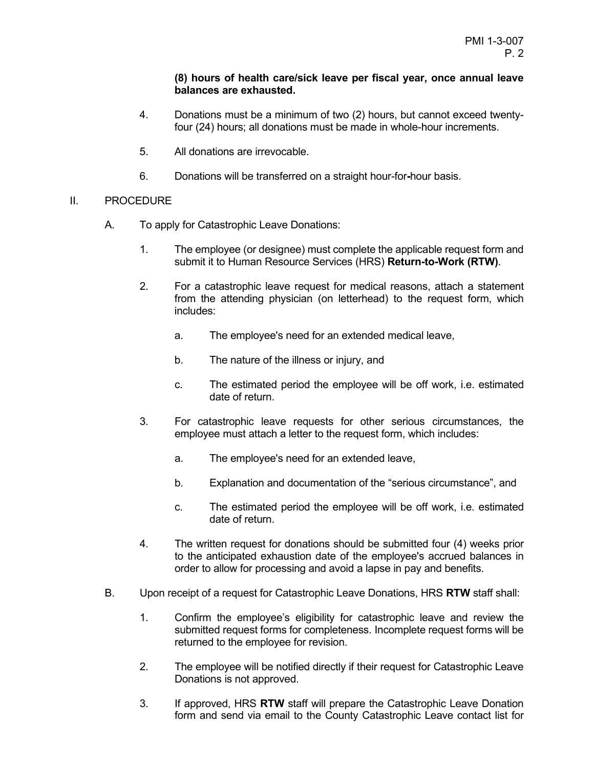### **(8) hours of health care/sick leave per fiscal year, once annual leave balances are exhausted.**

- 4. Donations must be a minimum of two (2) hours, but cannot exceed twentyfour (24) hours; all donations must be made in whole-hour increments.
- 5. All donations are irrevocable.
- 6. Donations will be transferred on a straight hour-for**-**hour basis.

### II. PROCEDURE

- A. To apply for Catastrophic Leave Donations:
	- 1. The employee (or designee) must complete the applicable request form and submit it to Human Resource Services (HRS) **Return-to-Work (RTW)**.
	- 2. For a catastrophic leave request for medical reasons, attach a statement from the attending physician (on letterhead) to the request form, which includes:
		- a. The employee's need for an extended medical leave,
		- b. The nature of the illness or injury, and
		- c. The estimated period the employee will be off work, i.e. estimated date of return.
	- 3. For catastrophic leave requests for other serious circumstances, the employee must attach a letter to the request form, which includes:
		- a. The employee's need for an extended leave,
		- b. Explanation and documentation of the "serious circumstance", and
		- c. The estimated period the employee will be off work, i.e. estimated date of return.
	- 4. The written request for donations should be submitted four (4) weeks prior to the anticipated exhaustion date of the employee's accrued balances in order to allow for processing and avoid a lapse in pay and benefits.
- B. Upon receipt of a request for Catastrophic Leave Donations, HRS **RTW** staff shall:
	- 1. Confirm the employee's eligibility for catastrophic leave and review the submitted request forms for completeness. Incomplete request forms will be returned to the employee for revision.
	- 2. The employee will be notified directly if their request for Catastrophic Leave Donations is not approved.
	- 3. If approved, HRS **RTW** staff will prepare the Catastrophic Leave Donation form and send via email to the County Catastrophic Leave contact list for